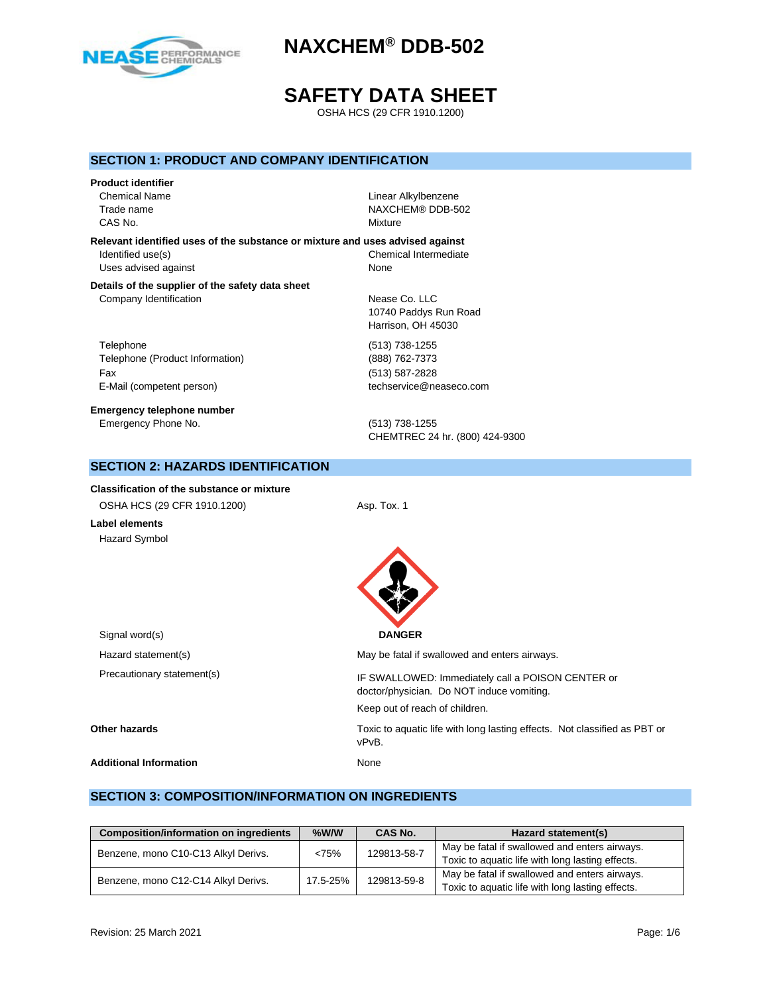

# **SAFETY DATA SHEET**

OSHA HCS (29 CFR 1910.1200)

## **SECTION 1: PRODUCT AND COMPANY IDENTIFICATION**

# **Product identifier** Chemical Name Linear Alkylbenzene CAS No. **Mixture**

Trade name NAXCHEM® DDB-502

**Relevant identified uses of the substance or mixture and uses advised against**

Uses advised against None

Identified use(s) Chemical Intermediate

#### **Details of the supplier of the safety data sheet** Company Identification **Nease Co. LLC**

Telephone (513) 738-1255 Telephone (Product Information) (888) 762-7373 Fax (513) 587-2828 E-Mail (competent person) example the techservice@neaseco.com

**Emergency telephone number** Emergency Phone No. (513) 738-1255

10740 Paddys Run Road Harrison, OH 45030

CHEMTREC 24 hr. (800) 424-9300

doctor/physician. Do NOT induce vomiting.

Keep out of reach of children.

# **SECTION 2: HAZARDS IDENTIFICATION**

#### **Classification of the substance or mixture**

| OSHA HCS (29 CFR 1910.1200) | Asp. Tox. 1 |
|-----------------------------|-------------|

**Label elements** Hazard Symbol





Signal word(s) **DANGER** Hazard statement(s) May be fatal if swallowed and enters airways. Precautionary statement(s) The SWALLOWED: Immediately call a POISON CENTER or

**Other hazards** Toxic to aquatic life with long lasting effects. Not classified as PBT or

vPvB.

#### **Additional Information** None

# **SECTION 3: COMPOSITION/INFORMATION ON INGREDIENTS**

| <b>Composition/information on ingredients</b> | $%$ W/W  | CAS No.     | Hazard statement(s)                              |
|-----------------------------------------------|----------|-------------|--------------------------------------------------|
| Benzene, mono C10-C13 Alkyl Derivs.           | <75%     | 129813-58-7 | May be fatal if swallowed and enters airways.    |
|                                               |          |             | Toxic to aquatic life with long lasting effects. |
| Benzene, mono C12-C14 Alkyl Derivs.           | 17.5-25% | 129813-59-8 | May be fatal if swallowed and enters airways.    |
|                                               |          |             | Toxic to aquatic life with long lasting effects. |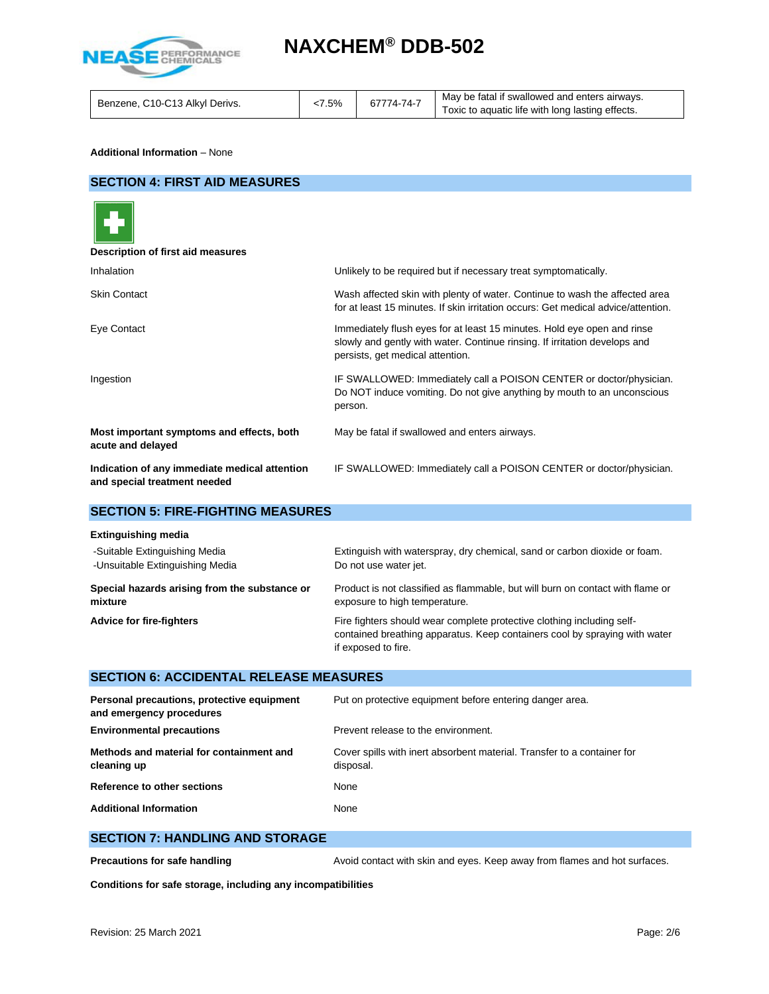

#### **Additional Information** – None

## **SECTION 4: FIRST AID MEASURES**



| Description of first aid measures                                             |                                                                                                                                                                                           |
|-------------------------------------------------------------------------------|-------------------------------------------------------------------------------------------------------------------------------------------------------------------------------------------|
| <b>Inhalation</b>                                                             | Unlikely to be required but if necessary treat symptomatically.                                                                                                                           |
| <b>Skin Contact</b>                                                           | Wash affected skin with plenty of water. Continue to wash the affected area<br>for at least 15 minutes. If skin irritation occurs: Get medical advice/attention.                          |
| Eye Contact                                                                   | Immediately flush eyes for at least 15 minutes. Hold eye open and rinse<br>slowly and gently with water. Continue rinsing. If irritation develops and<br>persists, get medical attention. |
| Ingestion                                                                     | IF SWALLOWED: Immediately call a POISON CENTER or doctor/physician.<br>Do NOT induce vomiting. Do not give anything by mouth to an unconscious<br>person.                                 |
| Most important symptoms and effects, both<br>acute and delayed                | May be fatal if swallowed and enters airways.                                                                                                                                             |
| Indication of any immediate medical attention<br>and special treatment needed | IF SWALLOWED: Immediately call a POISON CENTER or doctor/physician.                                                                                                                       |

# **SECTION 5: FIRE-FIGHTING MEASURES**

| <b>Extinguishing media</b>                    |                                                                                                                                                                             |
|-----------------------------------------------|-----------------------------------------------------------------------------------------------------------------------------------------------------------------------------|
| -Suitable Extinguishing Media                 | Extinguish with waterspray, dry chemical, sand or carbon dioxide or foam.                                                                                                   |
| -Unsuitable Extinguishing Media               | Do not use water jet.                                                                                                                                                       |
| Special hazards arising from the substance or | Product is not classified as flammable, but will burn on contact with flame or                                                                                              |
| mixture                                       | exposure to high temperature.                                                                                                                                               |
| <b>Advice for fire-fighters</b>               | Fire fighters should wear complete protective clothing including self-<br>contained breathing apparatus. Keep containers cool by spraying with water<br>if exposed to fire. |

# **SECTION 6: ACCIDENTAL RELEASE MEASURES**

| Personal precautions, protective equipment<br>and emergency procedures | Put on protective equipment before entering danger area.                             |
|------------------------------------------------------------------------|--------------------------------------------------------------------------------------|
| <b>Environmental precautions</b>                                       | Prevent release to the environment.                                                  |
| Methods and material for containment and<br>cleaning up                | Cover spills with inert absorbent material. Transfer to a container for<br>disposal. |
| Reference to other sections                                            | None                                                                                 |
| <b>Additional Information</b>                                          | None                                                                                 |

## **SECTION 7: HANDLING AND STORAGE**

**Precautions for safe handling Avoid contact with skin and eyes. Keep away from flames and hot surfaces.** 

**Conditions for safe storage, including any incompatibilities**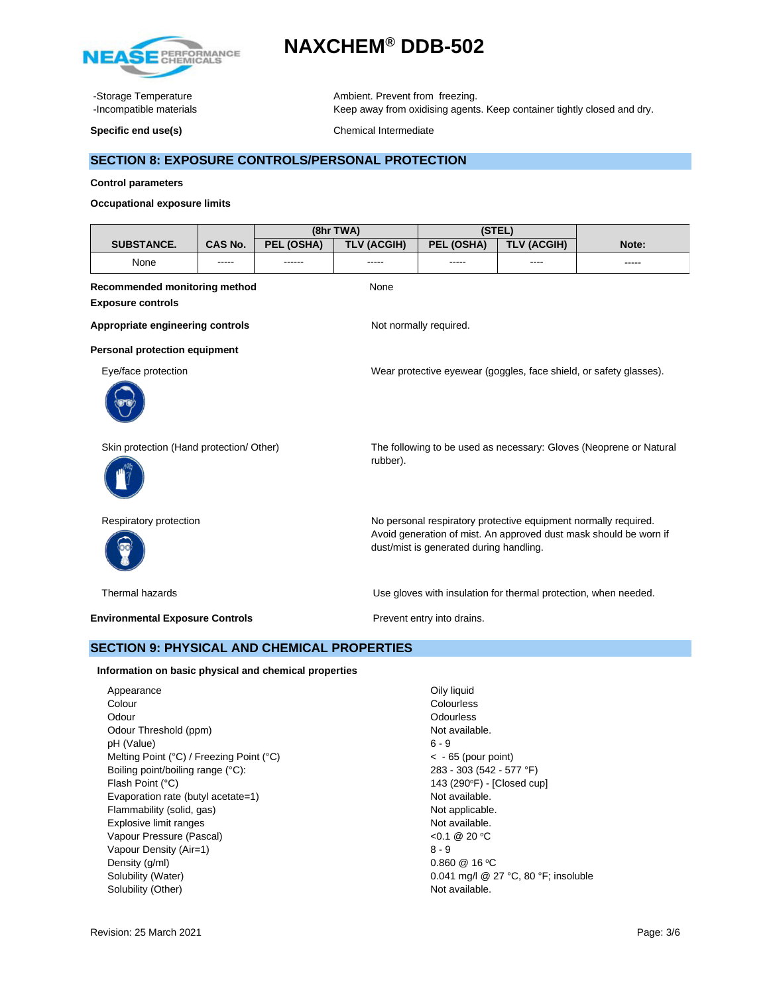

-Storage Temperature **Ambient.** Prevent from freezing. -Incompatible materials **Keep away from oxidising agents. Keep container tightly closed and dry.** 

**Specific end use(s)** Chemical Intermediate

# **SECTION 8: EXPOSURE CONTROLS/PERSONAL PROTECTION**

#### **Control parameters**

#### **Occupational exposure limits**

| (8hr TWA)                                          |                |            | (STEL)                                                                                                       |                                                                 |                                                                 |                                                                    |
|----------------------------------------------------|----------------|------------|--------------------------------------------------------------------------------------------------------------|-----------------------------------------------------------------|-----------------------------------------------------------------|--------------------------------------------------------------------|
| <b>SUBSTANCE.</b>                                  | <b>CAS No.</b> | PEL (OSHA) | <b>TLV (ACGIH)</b>                                                                                           | PEL (OSHA)                                                      | <b>TLV (ACGIH)</b>                                              | Note:                                                              |
| None                                               |                | ------     |                                                                                                              |                                                                 |                                                                 | -----                                                              |
| Recommended monitoring method                      |                |            | None                                                                                                         |                                                                 |                                                                 |                                                                    |
| <b>Exposure controls</b>                           |                |            |                                                                                                              |                                                                 |                                                                 |                                                                    |
| Appropriate engineering controls                   |                |            |                                                                                                              | Not normally required.                                          |                                                                 |                                                                    |
| Personal protection equipment                      |                |            |                                                                                                              |                                                                 |                                                                 |                                                                    |
| Eye/face protection                                |                |            |                                                                                                              |                                                                 |                                                                 | Wear protective eyewear (goggles, face shield, or safety glasses). |
|                                                    |                |            |                                                                                                              |                                                                 |                                                                 |                                                                    |
| Skin protection (Hand protection/ Other)           |                | rubber).   | The following to be used as necessary: Gloves (Neoprene or Natural                                           |                                                                 |                                                                 |                                                                    |
| Respiratory protection                             |                |            |                                                                                                              | No personal respiratory protective equipment normally required. |                                                                 |                                                                    |
|                                                    |                |            | Avoid generation of mist. An approved dust mask should be worn if<br>dust/mist is generated during handling. |                                                                 |                                                                 |                                                                    |
| Thermal hazards                                    |                |            |                                                                                                              |                                                                 | Use gloves with insulation for thermal protection, when needed. |                                                                    |
| <b>Environmental Exposure Controls</b>             |                |            | Prevent entry into drains.                                                                                   |                                                                 |                                                                 |                                                                    |
| <b>SECTION 9: PHYSICAL AND CHEMICAL PROPERTIES</b> |                |            |                                                                                                              |                                                                 |                                                                 |                                                                    |

#### **Information on basic physical and chemical properties**

Appearance **Oily liquid** Colour Colourless Odourless Odourless Odour Threshold (ppm) Not available. pH (Value) 6 - 9 Melting Point (°C) / Freezing Point (°C)  $\leq$  - 65 (pour point) Boiling point/boiling range (°C): 283 - 303 (542 - 577 °F) Flash Point (°C) Evaporation rate (butyl acetate=1) Not available.<br>
Flammability (solid, qas) Not applicable. Flammability (solid, gas) Explosive limit ranges **Not available**. Vapour Pressure (Pascal) Vapour Density (Air=1) 8 - 9 Density (g/ml)  $0.860 \ @ 16 \degree C$ Solubility (Water) 0.041 mg/l @ 27 °C, 80 °F; insoluble Solubility (Other) Not available.

143 (290°F) - [Closed cup] <0.1 @ 20 °C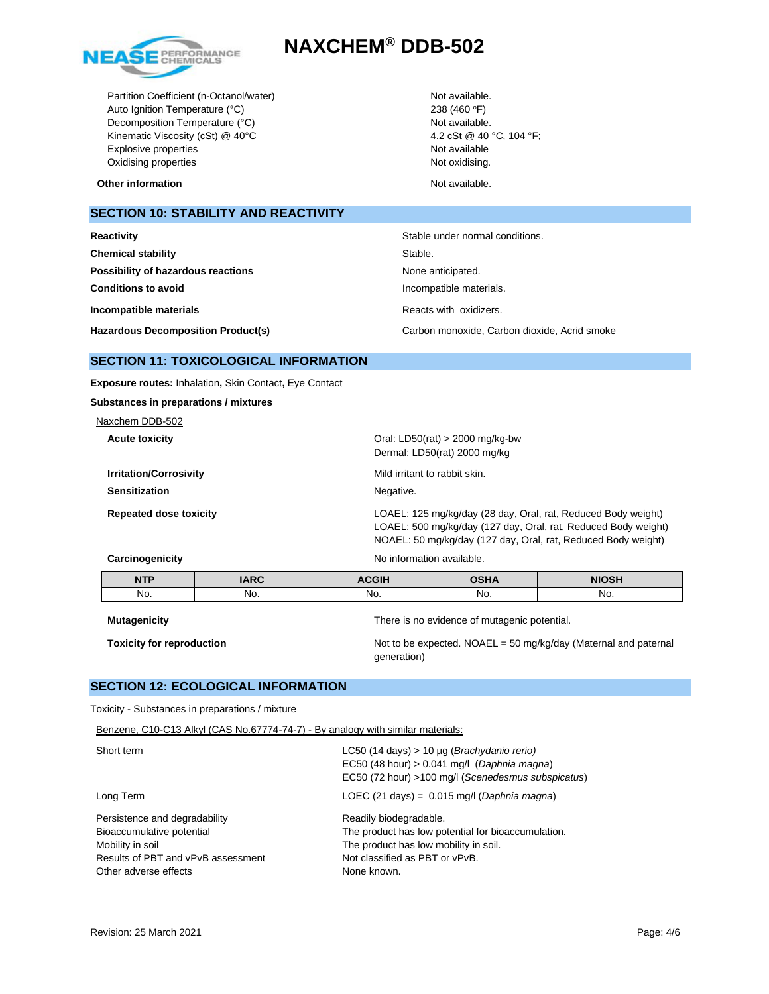

Partition Coefficient (n-Octanol/water) Not available. Auto Ignition Temperature (°C) 238 (460 °F) Decomposition Temperature (°C) Not available. Kinematic Viscosity (cSt) @ 40°C 4.2 cSt @ 40 °C, 104 °F; Explosive properties Not available Oxidising properties Not oxidising.

**Other information** and the state of the state of the state of the Not available.

**SECTION 10: STABILITY AND REACTIVITY**

| Reactivity                                | Stable under normal conditions.              |  |
|-------------------------------------------|----------------------------------------------|--|
| <b>Chemical stability</b>                 | Stable.                                      |  |
| Possibility of hazardous reactions        | None anticipated.                            |  |
| <b>Conditions to avoid</b>                | Incompatible materials.                      |  |
| Incompatible materials                    | Reacts with oxidizers.                       |  |
| <b>Hazardous Decomposition Product(s)</b> | Carbon monoxide, Carbon dioxide, Acrid smoke |  |

## **SECTION 11: TOXICOLOGICAL INFORMATION**

**Exposure routes:** Inhalation**,** Skin Contact**,** Eye Contact

**Substances in preparations / mixtures**

Naxchem DDB-502

| <b>Acute toxicity</b>         | Oral: LD50(rat) $>$ 2000 mg/kg-bw<br>Dermal: LD50(rat) 2000 mg/kg                                                               |
|-------------------------------|---------------------------------------------------------------------------------------------------------------------------------|
| <b>Irritation/Corrosivity</b> | Mild irritant to rabbit skin.                                                                                                   |
| <b>Sensitization</b>          | Negative.                                                                                                                       |
| <b>Repeated dose toxicity</b> | LOAEL: 125 mg/kg/day (28 day, Oral, rat, Reduced Body weight)<br>LOAEL: 500 mg/kg/day (127 day, Oral, rat, Reduced Body weight) |

**Carcinogenicity Carcinogenicity No information available.** 

| <b>NTP</b> | IADC<br><b>IARV</b> | 0.011 | <b>0011/</b><br>эпа | <b>NIOSH</b> |
|------------|---------------------|-------|---------------------|--------------|
| No.        | No.                 | NO.   | No.                 | No.          |

**Mutagenicity** There is no evidence of mutagenic potential.

**Toxicity for reproduction** Not to be expected. NOAEL = 50 mg/kg/day (Maternal and paternal generation)

NOAEL: 50 mg/kg/day (127 day, Oral, rat, Reduced Body weight)

## **SECTION 12: ECOLOGICAL INFORMATION**

Toxicity - Substances in preparations / mixture

Benzene, C10-C13 Alkyl (CAS No.67774-74-7) - By analogy with similar materials:

| Short term                                                                                                                                    | LC50 (14 days) > 10 $\mu$ g ( <i>Brachydanio rerio</i> )<br>EC50 (48 hour) > 0.041 mg/l (Daphnia magna)<br>EC50 (72 hour) >100 mg/l (Scenedesmus subspicatus)          |
|-----------------------------------------------------------------------------------------------------------------------------------------------|------------------------------------------------------------------------------------------------------------------------------------------------------------------------|
| Long Term                                                                                                                                     | LOEC (21 days) = $0.015$ mg/l (Daphnia magna)                                                                                                                          |
| Persistence and degradability<br>Bioaccumulative potential<br>Mobility in soil<br>Results of PBT and vPvB assessment<br>Other adverse effects | Readily biodegradable.<br>The product has low potential for bioaccumulation.<br>The product has low mobility in soil.<br>Not classified as PBT or vPvB.<br>None known. |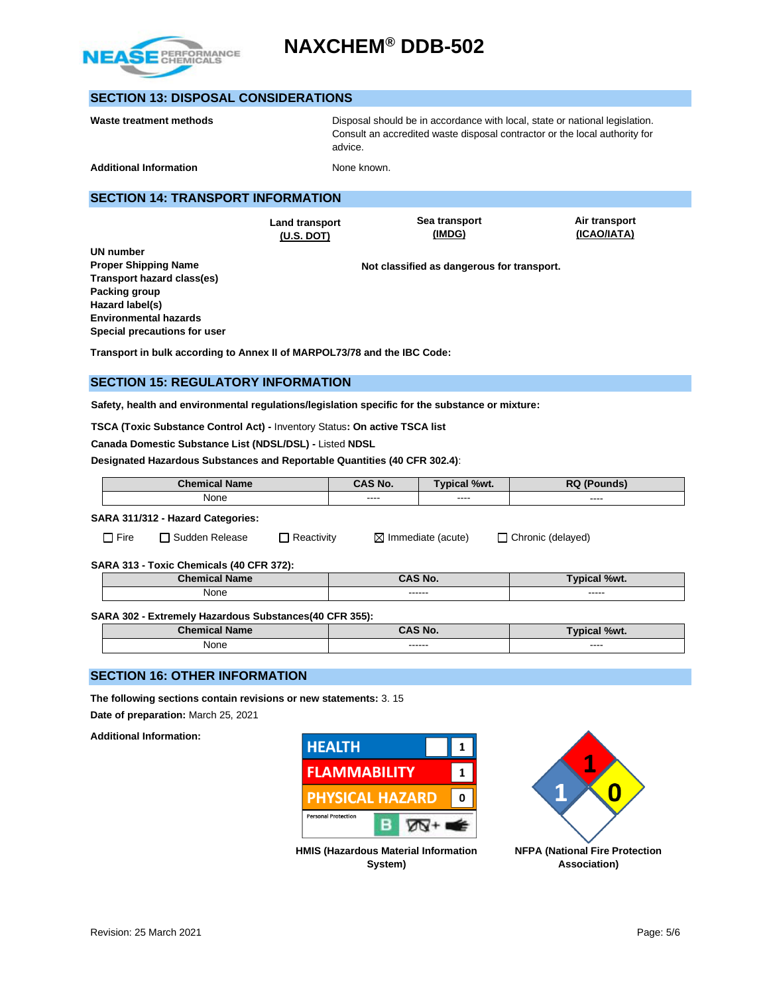

# **SECTION 13: DISPOSAL CONSIDERATIONS**

| Waste treatment methods       | Disposal should be in accordance with local, state or national legislation.<br>Consult an accredited waste disposal contractor or the local authority for<br>advice. |  |
|-------------------------------|----------------------------------------------------------------------------------------------------------------------------------------------------------------------|--|
| <b>Additional Information</b> | None known.                                                                                                                                                          |  |
|                               |                                                                                                                                                                      |  |

#### **SECTION 14: TRANSPORT INFORMATION**

**Land transport (U.S. DOT)**

**Sea transport (IMDG)**

**Air transport (ICAO/IATA)**

**Not classified as dangerous for transport.** 

**Transport in bulk according to Annex II of MARPOL73/78 and the IBC Code:** 

## **SECTION 15: REGULATORY INFORMATION**

**Safety, health and environmental regulations/legislation specific for the substance or mixture:**

**TSCA (Toxic Substance Control Act) -** Inventory Status**: On active TSCA list**

**Canada Domestic Substance List (NDSL/DSL) -** Listed **NDSL**

**Designated Hazardous Substances and Reportable Quantities (40 CFR 302.4)**:

| <b>Name</b><br>Chemical | S No.<br>- 1 | $\%wt$ . | nл   |
|-------------------------|--------------|----------|------|
| None                    |              |          |      |
|                         | -----        | ----     | ---- |

### **SARA 311/312 - Hazard Categories:**

□ Fire □ Sudden Release □ Reactivity ■ Immediate (acute) □ Chronic (delayed)

**SARA 313 - Toxic Chemicals (40 CFR 372):** 

| Chem<br><b>Name</b><br>alltaar. | CAS No.  | %wt.<br>/VICal |
|---------------------------------|----------|----------------|
| None                            | ------   | ------         |
|                                 | -------- | ______         |

#### **SARA 302 - Extremely Hazardous Substances(40 CFR 355):**

| <b>Chemical Name</b> | CAS No. | $\sqrt{9}$ %wt.<br>vpical. |
|----------------------|---------|----------------------------|
| None                 | ------  | ----<br>_____              |

### **SECTION 16: OTHER INFORMATION**

**The following sections contain revisions or new statements:** 3. 15

**Date of preparation:** March 25, 2021

**Additional Information:**





**HMIS (Hazardous Material Information System)**